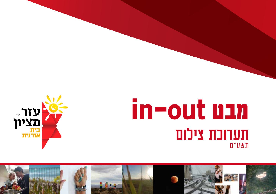

# **מבט out-in** תערוכת צילום תשע"ט

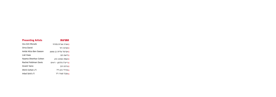| <b>Presenting Artists</b> | המציגות                      |
|---------------------------|------------------------------|
| Ora Orit Mizrahi          | <b>ן</b> אורה אורית מזרחי    |
| Orna David                | ן אורנה דוד                  |
| Avital Aliza Ben Sasson   | <b>ן</b> אביטל עליזה בן ששון |
| Liat Haas                 | ן ליאת הס                    |
| Naama Shenhav Cohen       | <b>ן</b> נעמה שנהב כהן       |
| Rachel Feldman Davis      | ן רייצ'ל פלדמן - דיוויס      |
| Granit Yaniv              | <b>ן</b> גרניט יניב          |
| Shirli Cohen z"l          | שירלי כהן ז"ל <b>I</b>       |
| Inbal Sa'id $7$ "l        | ן ענבל סעיד ז״ל              |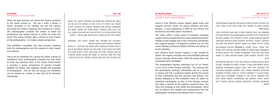#### **Dr. Bracha Zisser** Director, Cancer Patient Support Services and Bone Marrow Donor Registry

Oranit is Ezer Mizion's cancer patient quest home and support services center for cancer patients and their families. It was established in 1995 by Ezer Mizion and the Bracha and Motti Zisser Foundation.

The center offers a wide variety of activities, including support and accompaniment for cancer patients and their families at the hospital and in the community, workshops and support groups, a therapeutic petting zoo, art and music therapy, Gymboree, Pilates activities and plenty of social activities

Ezer Mizion's bone marrow registry is also located at Dranit. The registry includes more than 990,668 potential donors, through which nearly 3,294 life-saving stem cell transplants were facilitated.

The photography therapy workshop, led by Uri Feiner, is one of our many therapy activities. The process that the participants undergo, individually and as a group, is unique and has a profound impact during the period of their treatments and the recovery that follows. The photos displayed at the exhibition were all taken by workshop participants as part of this therapy process and relay a portion of the patient's personal story. You have the privilege to see inside the participants' world and to observe the insights and perspectives that the photography workshop has allowed them to share.

#### **ד"ר ברכה זיסר** מנהלת "בית אורנית" והמאגר הלאומי לתורמי מח עצם

בית "אורנית" הוא מרכז תמיכה וסיוע לחולי סרטן ובני משפחותיהם. המקום הוקם ע"י עמותת "עזר מציון" וקרן "ברכה ומוטי זיסר" בשנת .1995

מהקמתו ועד היום התפתח המרכז, והוא מציע פעילויות רבות, ביניהן תמיכה וליווי החולים ובני משפחתם בבתי החולים ובקהילה, סדנאות וקבוצות תמיכה, פינת חי טיפולית, חדר אומנות, טיפולים במוזיקה, ג'ימבורי, פעילויות פילאטיס ושפע פעילויות חברתיות. במרכז אורנית נמצא גם המאגר הלאומי לתורמי מח עצם של

"עזר מציון", הכולל למעלה מ990,668- תורמים פוטנציאליים ובאמצעותו נעשו למעלה מ3,294- השתלות מצילות חיים. בשנים האחרונות חלה עלייה משמעותית במספר חולי הסרטן הנעזרים בבית "אורנית" והמקום שוקק אנשים ופעילות לאורך כל שעות היום.

סדנת הצילום הטיפולי, בהנחיית אורי פינר, היא אחת מהפעילויות הרבות המתקיימות במרכז. התהליך שעוברים משתתפי הסדנה, לבד וכקבוצה, הוא ייחודי ובעל השפעה משמעותית בתקופת הטיפולים והשיקום שלאחר מכן. התמונות שמוצגות בתערוכה צולמו כולן על ידי משתתפי הסדנה. הן נבחרו בקפידה ומספרות חלק מהסיפור האישי של כל מתמודד ומתמודדת. לכם ניתנה הזכות להציץ לעולמם של המשתתפים ולנסות לחוות חלק מהתובנות ומזוויות ההתבוננות שסדנת הצילום אפשרה להם לחלוק.

This is not an exhibition by a group but rather a group of exhibitions. Each photographer presents her own body of work, her personal view of the world. Concurrently, it provides a group perspective of women brought together by destiny who, together, studied the language of photography. And so, like any group, the exhibition can be viewed as a whole or view each of its elements .individually

#### **אורי פינר**  צלם, מנחה הקבוצה

כאשר אנו מצלמים, אנו מפנים את המצלמה החוצה, אל העולם סביבנו. אנו רואים דרך, פרח, חוף ים, אנשים זרים או את בני משפחתנו; מכוונים את המצלמה ולוחצים על הכפתור, לוכדים את הרגע בתוך התמונה. הצלם מאלץ את הצופה לאמץ את נקודת מבטו, את הדרך הייחודית שבה הוא רואה את העולם. בכך הצופה זוכה להביט פנימה, לכיוון הצלם. מבט פנימה - החוצה.

התערוכה הזו משלימה את המהלך הכפול הזה, מאפשרת לצלמות ולצופים להביט החוצה ופנימה.

זו אינה תערוכה קבוצתית אלא קבוצה של תערוכות - כל צלמת מציגה גוף עבודה נפרד, מבט אישי על העולם; ובאותו זמן יש כאן גם מבט קבוצתי, מבט של נשים אשר הגורל הפגיש אותן ויחד למדו את שפת הצילום. כך, ממש כמו קבוצה אפשר להסתכל על התערוכה הזו כעל שלם ואפשר להסתכל על כל פרט בנפרד.

#### **Uri** Feiner Photographer, Group Facilitator

When we take pictures, we direct the camera outward, to the world around us. We see a path, a flower, a beach, strangers or our families. We aim the camera and press the button, capturing the moment in a photo. The photographer compels the viewer to adopt his perspective, the unique manner in which he views the world. The viewer thereby gets a chance to look inward, at the photographer. An inside-outside perspective.

This exhibition completes this dual process, enabling both the photographers and the viewers to look inward and outward.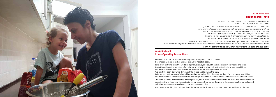

### **Ora Orit Mizrahi Life - Operating Instructions**

The bond with our children is the most significant, but in order to bond with others, we must first be connected to ourselves. Our children are the realization of our dreams; they are our future and the embodiment of our enhanced self. They are the ones who give us hope and a reason to live.

In closing, when life gives us ingredients for baking a cake, it's time to pull out the mixer and heat up the oven.

#### **אורה אורית מזרחי**

#### **חיים – הוראות הפעלה**

הגמישות חשובה לנו לחיים, דברים לא תמיד מסתדרים כפי שתכננו. חשוב להיות ביחד ולא לבד, אך לא בכל מחיר.

אהבה צריכה להניע אותנו בעולם הזה, ואת השמחה תמיד יש לחפש ולנצור בליבנו ובקרבנו. לא להתבייש לבקש עזרה מאחרים; להשתדל לתת עזרה לאחר, אך ורק בגבולות היכולת שלנו. צריך ללכת אחר הלב - החלומות שלנו נמצאים במרחק שאותו אנו מוכנים ללכת עבורם. צריך לחיות רק את היום, כמובן עם מחשבה על המחר ומתוך הידיעה של האתמול. אל נזלזל בחוסר הידיעה של האחר, אלא נשלים לו את החסר. אף אחד לא יודע הכל. את התמימות יש לחבק, שכן היא תמיד תזכיר לנו את ילדותנו ותסיר דאגה מליבנו.

הקשר שלנו לילדינו הוא המהותי ביותר אך בשביל להתחבר לאחר עלינו להיות קודם כל מחוברים לעצמנו. הילדים שלנו הם הגשמת החלומות שלנו; הם דור ההמשך וההתגלמות המשופרת שלנו, הם אלו הנותנים לנו את התקווה ואת הסיבה לחיות.

ולסיום, כשהחיים נותנים לנו מרכיבים לעוגה, יש להוציא את המיקסר ולחמם את התנור.

. Flexibility is important in life since things don't always work out as planned. It is important to be together and not alone, but not at all costs.

Love must motivate us in this world and joy must always be sought and cherished in our hearts and souls.

. Do not be ashamed to ask others for help; try to help others, but only within the limits of your capabilities.

We must follow our heart. Our dreams are as far as we are willing to travel for them.

We must live each day, while thinking of the future and knowing the past.

Let's not scorn other people's lack of knowledge, but rather fill in the gaps for them. No one knows everything.

We must embrace innocence, because it will always remind us of our childhood and banish worry from our hearts.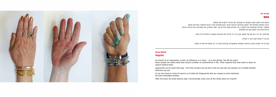#### **אורנה דוד**

#### **חותם**

חותם הוא רושם, סימן, השפעה או עקבות, כמו בביטוי "הטביע את חותמו". הרבה אנשים נשאלים מה ייחשב בעיניהם כהישג בחיים, רובם משיבים שהיו רוצים להשאיר אחריהם חותם. מסתבר שכולנו מגשימים את המטרה הזו. מהרגע שאנו נולדים ועד יומנו האחרון, אנו מטביעים את הזהות הבלתי נראית שלנו בכל מקום שבו אנו נמצאים.



### **Orna David Imprint**

imprint behind them.

wherever we are.

No hand resembles another.

מבחינתי, כף היד היא סוג של חותם. שכן, כף היד מכילה את טביעות האצבע הייחודיות לכל אדם.

אין כף יד אחת דומה לכף יד אחרת.

עם כף היד אנחנו בונים, הורסים, חותמים, מתקשרים, מבטלים ותוך כדי כך משאירים אחרינו חותם.

An imprint is an impression, a mark, an influence, or a trace  $-$  as in the phrase, "He left his mark". Many people are asked what they would consider an achievement in life. Most respond that they want to leave an

Apparently, we all reach that goal. From the moment we are born until our last day, we impress our invisible identity

To me, the hand is a kind of imprint, as it holds the fingerprints that are unique to each individual.

With the hand, we build, destroy, sign, communicate, undo, and, all the while, leave our imprint.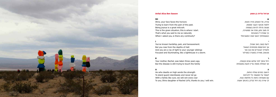

#### **Avital Aliza Ben Sasson**

#### **אביטל עליזה בן ששון**

#### **ש**

שירה, אל האופק פנייך פונות; ללמוד מכאבי העבר מנסות; מצווה גדולה להיות בשמחה זה מצב נתון, מפה אני ממשיכה, כך אמרת לי בטבעיות כששאלתיך האם ישנה המשכיות?

היושב במרום שולח כוחות, לעמוד על המשמר בלי להרפות עם משפחה כזאת כל מלחמה ננגח, לך שירה בת רחל (ע״ה), בזכותך אנצח.

#### **י**

ידעת קושי, כאב ושכול, אך התרוממת מתחתית השאול ולאחייך הצעירים את קרן אור מכוונת, מאירה בסערה כמגדלור

#### **ר**

רחל אימך לפני שלוש שנים נקטפה, אך המחלה מנסה עדיין לגעת במשפחה

#### **ה**

#### **SH**

Shira, your face faces the horizon; Trying to learn from the pain of the past; Being joyous is a great mitzvah. This is the given situation, this is where I start. That's what you said to me so naturally When I asked you, is there any continuity?

#### **I**

You've known hardship, pain, and bereavement. But you rose from the depths of Hell And you are a ray of light to your younger siblings Focused and illuminating, like a lighthouse in a storm.

#### **R**

Your mother, Rachel, was taken three years ago, But the disease is still trying to touch the family

#### **A**

He who dwells on high sends the strength To stand guard relentlessly and never let go With a family like ours, we will win every war To you, Shira daughter of Rachel (a"h), thanks to you, I will win.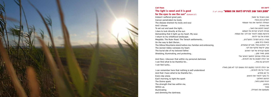

## **Haas The light is sweet and it is good**

Indeed I suffered great pain. Cancer penetrated my body. The disease drained my body and soul And Lchoose To set out and seek the light... I dare to look directly at the sun Demanding that it light up my heart. My soul. I return to my childhood landscape. Megiddo. The Ruler Road. The Tanach settlements... ...an the way to Beit She'an The Gilboa Mountains stand before me. Familiar and embracing. The Jezreel Valley caresses my heart. The burial site of my beloved father. Shielding, illuminating, and protecting...

And then, I discover that within my personal darkness I can find what to be thankful for... I can feel lucky...

I can remember here that nothing is self-understood And that I have what to be thankful for... Every day anew, Each morning, to light the spark The Divine spark. The strength that lies within me, Within us. Illuminating and dimming the darkness.

ואני בוחרת

ואכן כאבתי עד מאוד. הסרטן קינן בגופי. המחלה התישה את גופי ונשמתי לצאת לחפש את האור... מעיזה להביט ישירות אל השמש ודורשת ממנה להאיר את ליבי. את נשמתי. חוזרת אל נוף ילדותי. מגידו. כביש הסרגל. התענ"כים... בואכה בית שאן... הרי הגלבוע מולי. מוכרים ועוטפים. עמק יזרעאל מלטף את ליבי. מקום קבורתו של אבי האהוב מגונן. מאיר ומגן.... ואז, מגלה שבתוך החושך האישי שלי אני יכולה למצוא על מה להודות... להרגיש בת מזל...

> אני יכולה להיזכר במקום הזה ששום דבר לא מובן מאליו ויש לי על מה להודות... כל יום מחדש. כל בוקר להאיר את הניצוץ. הניצוץ האלוקי. הכוח טמון בתוכי, בתוכנו, מאיר ומעמעם את האפילה.

**for the eyes to see the sun"** (Kohelet 11:7)

### **״מתוק האור וטוב לעיניים לראות את השמש"** )קהלת, י"א, ז'(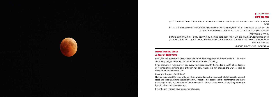

### **Naama Shenhav Cohen A Year of Nighttime**

Last year, the illness that was always something that happened to others, came in - or, more accurately, barged into - my life and home, without even knocking.

Since then, every minute, every day, every week brought with it a flooded me with a broad range of feelings and emotions, and, although my daily routine did not change, the way I looked at those mundane moments did.

So why is it a year of nighttime? Not just because of the dark, although there was darkness, but because that darkness illuminated sides and strengths in me that I didn't know I had; not just because of the nightmares, and there were nightmares, but because of the dreams that one day... very soon... everything would go back to what it was one year ago. Even though I myself have long since changed.

#### **נעמה שנהב כהן**

### **שנה של לילה**

לפני שנה, המחלה שתמיד הייתה משהו שקורה למישהו אחר, נכנסה, או יותר נכון התפרצה, לחיים ולבית שלי בלי לדפוק בדלת.

מאז - כל רגע, כל יום, כל שבוע - הביא איתו קשת רחבה של תחושות ורגשות שהציפו אותי, ואפילו ששגרת החיים שלי לא השתנתה, הדרך שבה אני מסתכלת על דברים, על אותם רגעים יומיומיים - דווקא כן.

אז למה שנה של לילה?

לא רק בגלל החושך, למרות שהיה גם חושך, אלא דווקא בגלל שאותו חושך האיר אצלי צדדים וכוחות שלא ידעתי שקיימים בי; ולא רק בגלל הסיוטים, והיו סיוטים, אלא דווקא בגלל אותם חלומות שיום אחד...ממש עוד מעט... הכל יחזור להיות בדיוק כמו שהיה לפני שנה.

אפילו/למרות - שאני כבר מזמן השתניתי.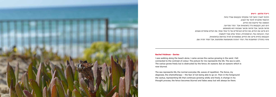

#### **Rachel Feldman - Davies**

now blurred.

The sea represents life, the normal everyday life, waves of repetition. The fence, my diagnosis, the chemotherapy – the fear of not being able to go on. Then in the foreground the cactus, representing life that continues growing wildly and freely. A change in my thought process, the fence becomes blurred and fades away but will always be there.

#### **רייצ'ל פלדמן - דיוויס**

הלכתי לאורך החוף לבד ונתקלתי בקקטוס שגדל בחול. הרגשתי מחוברת לניגוד של הצבע. התמונה שלי מייצגת את החיים. הים רגוע, הקקטוס גדל בחופשיות אבל הגדר מפריעה. מראה מכוער, אבל מראה מכוער שעכשיו הוא מטושטש. הים מייצג את החיים, את החיים הנורמליים של כל אחד ואחד, את הגלים שחוזרים ונשנים. הגדר, ההבחנה שלי, הכימותרפיה, הפחד שלא אוכל להמשיך. הקקטוס בחזית מייצג את החיים; שממשיכים לגדול בפראות ובחופשיות. שינוי בתהליך המחשבות שלי; הגדר הופכת מטושטשת ומתפוגגת, אבל תמיד תהיה שם.

I was walking along the beach alone. I came across the cactus growing in the sand. I felt connected to the contrast of colour. The picture for me represents the life. The sea is calm. The cactus grows freely but is obstructed by the fence. An eyesore. But an eyesore which is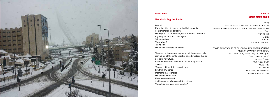

#### **Granit Yaniv**

### **Recalculating the Route**

I got sick! My entire life, I designed routes that would be convenient for me to follow. During the last three years, I was forced to recalculate my life path time and time again. Where do I go? With whom? Till when? Who decides where I'm going?

#### **גרניט יניב**

### **מחשב מסלול מחדש**

חליתי! כל חיי יצרתי לעצמי מסלולים שבהם היה לי נוח ללכת. בשלוש שנים האחרונות נאלצתי כל פעם מחדש לחשב מחדש את מסלול חיי. לאן צועדים? עם מי? עד מתי? מי מחליט לאן אצעד?

המסלולים החדשים צלקו את גופי, אך הם רק מזכירים את הדרכים שבהן צעדתי ואינם סוללים את עתידי. מתוך השיר "עד קצה המסלול", מאת אסתר שמיר: "אנשים שלא קרבתי אלי נשרו לי מתוך ידי רגעים שעברו מעלי עברו בלעדי אין בי כל טינה רק ימים ארוכים, שמשהו בי בכל כוחו קורא למרחקים"

The new routes scarred my body, but these scars only remind me of the paths that I've already walked that do not pave my future. Excerpted from "To the End of the Path" by Esther :Shamir

"People I did not bring close to me Fell from my hands Moments that I ignored Happened without me I bear no resentment Just long days, when something within With all its strength cries out afar."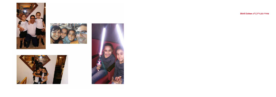







**שירלי כהן ז"ל | l"z Cohen Shirli**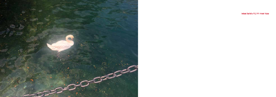

**ענבל סעיד ז"ל | l"z id'Sa Inbal**